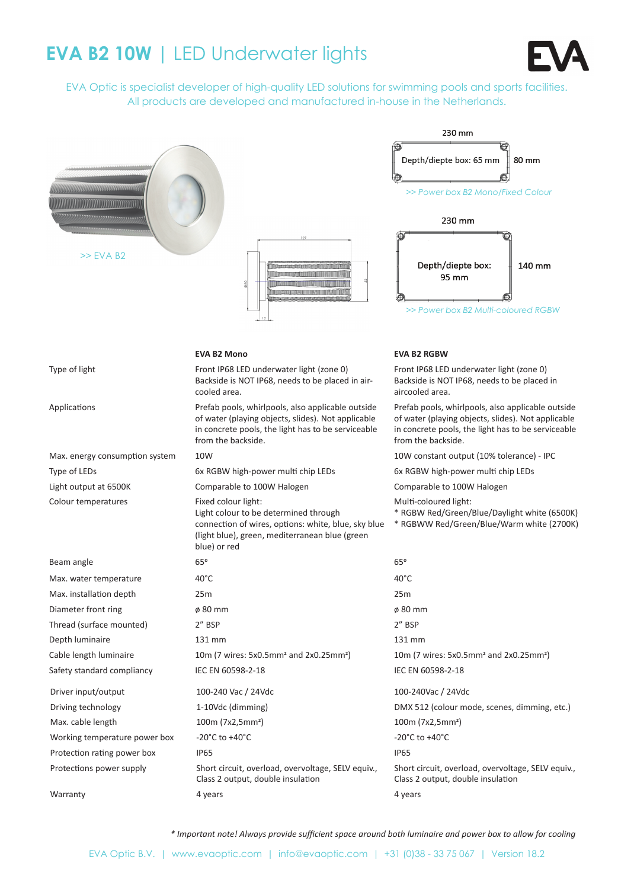# **EVA B2 10W | LED Underwater lights**



EVA Optic is specialist developer of high-quality LED solutions for swimming pools and sports facilities. All products are developed and manufactured in-house in the Netherlands.

|                                |                                                                                                                                                                                       | 230 mm                                                                                                                                                                              |
|--------------------------------|---------------------------------------------------------------------------------------------------------------------------------------------------------------------------------------|-------------------------------------------------------------------------------------------------------------------------------------------------------------------------------------|
| $>>$ EVA B2                    |                                                                                                                                                                                       | Depth/diepte box: 65 mm<br>80 mm<br>>> Power box B2 Mono/Fixed Colour<br>230 mm<br>Depth/diepte box:<br>140 mm<br>95 mm<br>>> Power box B2 Multi-coloured RGBW                      |
|                                | <b>EVA B2 Mono</b>                                                                                                                                                                    | <b>EVA B2 RGBW</b>                                                                                                                                                                  |
| Type of light                  | Front IP68 LED underwater light (zone 0)<br>Backside is NOT IP68, needs to be placed in air-<br>cooled area.                                                                          | Front IP68 LED underwater light (zone 0)<br>Backside is NOT IP68, needs to be placed in<br>aircooled area.                                                                          |
| Applications                   | Prefab pools, whirlpools, also applicable outside<br>of water (playing objects, slides). Not applicable<br>in concrete pools, the light has to be serviceable<br>from the backside.   | Prefab pools, whirlpools, also applicable outside<br>of water (playing objects, slides). Not applicable<br>in concrete pools, the light has to be serviceable<br>from the backside. |
| Max. energy consumption system | 10W                                                                                                                                                                                   | 10W constant output (10% tolerance) - IPC                                                                                                                                           |
| Type of LEDs                   | 6x RGBW high-power multi chip LEDs                                                                                                                                                    | 6x RGBW high-power multi chip LEDs                                                                                                                                                  |
| Light output at 6500K          | Comparable to 100W Halogen                                                                                                                                                            | Comparable to 100W Halogen                                                                                                                                                          |
| Colour temperatures            | Fixed colour light:<br>Light colour to be determined through<br>connection of wires, options: white, blue, sky blue<br>(light blue), green, mediterranean blue (green<br>blue) or red | Multi-coloured light:<br>* RGBW Red/Green/Blue/Daylight white (6500K)<br>* RGBWW Red/Green/Blue/Warm white (2700K)                                                                  |
| Beam angle                     | 65°                                                                                                                                                                                   | 65°                                                                                                                                                                                 |
| Max. water temperature         | $40^{\circ}$ C                                                                                                                                                                        | $40^{\circ}$ C                                                                                                                                                                      |
| Max. installation depth        | 25m                                                                                                                                                                                   | 25m                                                                                                                                                                                 |
| Diameter front ring            | $\varnothing$ 80 mm                                                                                                                                                                   | $\varnothing$ 80 mm                                                                                                                                                                 |
| Thread (surface mounted)       | 2" BSP                                                                                                                                                                                | 2" BSP                                                                                                                                                                              |
| Depth luminaire                | 131 mm                                                                                                                                                                                | 131 mm                                                                                                                                                                              |
| Cable length luminaire         | 10m (7 wires: 5x0.5mm <sup>2</sup> and 2x0.25mm <sup>2</sup> )                                                                                                                        | 10m (7 wires: 5x0.5mm <sup>2</sup> and 2x0.25mm <sup>2</sup> )                                                                                                                      |
| Safety standard compliancy     | IEC EN 60598-2-18                                                                                                                                                                     | IEC EN 60598-2-18                                                                                                                                                                   |
| Driver input/output            | 100-240 Vac / 24Vdc                                                                                                                                                                   | 100-240Vac / 24Vdc                                                                                                                                                                  |
| Driving technology             | 1-10Vdc (dimming)                                                                                                                                                                     | DMX 512 (colour mode, scenes, dimming, etc.)                                                                                                                                        |
| Max. cable length              | 100m (7x2,5mm <sup>2</sup> )                                                                                                                                                          | 100m (7x2,5mm <sup>2</sup> )                                                                                                                                                        |
| Working temperature power box  | -20 $^{\circ}$ C to +40 $^{\circ}$ C                                                                                                                                                  | -20 $^{\circ}$ C to +40 $^{\circ}$ C                                                                                                                                                |
| Protection rating power box    | <b>IP65</b>                                                                                                                                                                           | <b>IP65</b>                                                                                                                                                                         |
| Protections power supply       | Short circuit, overload, overvoltage, SELV equiv.,<br>Class 2 output, double insulation                                                                                               | Short circuit, overload, overvoltage, SELV equiv.,<br>Class 2 output, double insulation                                                                                             |
| Warranty                       | 4 years                                                                                                                                                                               | 4 years                                                                                                                                                                             |

*\* Important note! Always provide suffi cient space around both luminaire and power box to allow for cooling*